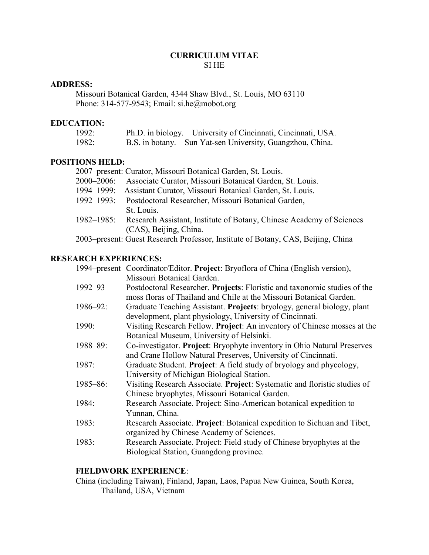## **CURRICULUM VITAE** SI HE

### **ADDRESS:**

Missouri Botanical Garden, 4344 Shaw Blvd., St. Louis, MO 63110 Phone: 314-577-9543; Email: si.he@mobot.org

### **EDUCATION:**

| 1992: | Ph.D. in biology. University of Cincinnati, Cincinnati, USA. |  |
|-------|--------------------------------------------------------------|--|
| 1982: | B.S. in botany. Sun Yat-sen University, Guangzhou, China.    |  |

## **POSITIONS HELD:**

| LIVNƏ NELD. |                                                                                   |
|-------------|-----------------------------------------------------------------------------------|
|             | 2007–present: Curator, Missouri Botanical Garden, St. Louis.                      |
|             | 2000–2006: Associate Curator, Missouri Botanical Garden, St. Louis.               |
|             | 1994–1999: Assistant Curator, Missouri Botanical Garden, St. Louis.               |
|             | 1992–1993: Postdoctoral Researcher, Missouri Botanical Garden,                    |
|             | St. Louis.                                                                        |
|             | 1982–1985: Research Assistant, Institute of Botany, Chinese Academy of Sciences   |
|             | (CAS), Beijing, China.                                                            |
|             | 2002 necessari Cursat Descessario Desfeccesari Instituto of Determine CAS Deijine |

# 2003–present: Guest Research Professor, Institute of Botany, CAS, Beijing, China

## **RESEARCH EXPERIENCES:**

|               | 1994–present Coordinator/Editor. Project: Bryoflora of China (English version), |
|---------------|---------------------------------------------------------------------------------|
|               | Missouri Botanical Garden.                                                      |
| 1992-93       | Postdoctoral Researcher. Projects: Floristic and taxonomic studies of the       |
|               | moss floras of Thailand and Chile at the Missouri Botanical Garden.             |
| 1986-92:      | Graduate Teaching Assistant. Projects: bryology, general biology, plant         |
|               | development, plant physiology, University of Cincinnati.                        |
| 1990:         | Visiting Research Fellow. Project: An inventory of Chinese mosses at the        |
|               | Botanical Museum, University of Helsinki.                                       |
| $1988 - 89$ : | Co-investigator. Project: Bryophyte inventory in Ohio Natural Preserves         |
|               | and Crane Hollow Natural Preserves, University of Cincinnati.                   |
| 1987:         | Graduate Student. Project: A field study of bryology and phycology,             |
|               | University of Michigan Biological Station.                                      |
| $1985 - 86$ : | Visiting Research Associate. Project: Systematic and floristic studies of       |
|               | Chinese bryophytes, Missouri Botanical Garden.                                  |
| 1984:         | Research Associate. Project: Sino-American botanical expedition to              |
|               | Yunnan, China.                                                                  |
| 1983:         | Research Associate. Project: Botanical expedition to Sichuan and Tibet,         |
|               | organized by Chinese Academy of Sciences.                                       |
| 1983:         | Research Associate. Project: Field study of Chinese bryophytes at the           |
|               | Biological Station, Guangdong province.                                         |

## **FIELDWORK EXPERIENCE**:

China (including Taiwan), Finland, Japan, Laos, Papua New Guinea, South Korea, Thailand, USA, Vietnam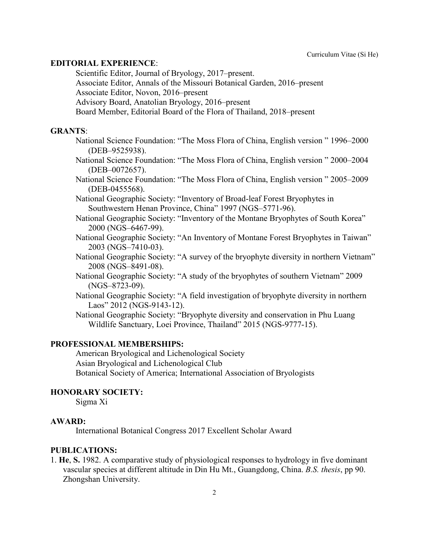#### **EDITORIAL EXPERIENCE**:

Scientific Editor, Journal of Bryology, 2017–present.

Associate Editor, Annals of the Missouri Botanical Garden, 2016–present

Associate Editor, Novon, 2016–present

Advisory Board, Anatolian Bryology, 2016–present

Board Member, Editorial Board of the Flora of Thailand, 2018–present

#### **GRANTS**:

- National Science Foundation: "The Moss Flora of China, English version " 1996–2000 (DEB–9525938).
- National Science Foundation: "The Moss Flora of China, English version " 2000–2004 (DEB–0072657).
- National Science Foundation: "The Moss Flora of China, English version " 2005–2009 (DEB-0455568).
- National Geographic Society: "Inventory of Broad-leaf Forest Bryophytes in Southwestern Henan Province, China" 1997 (NGS–5771-96).
- National Geographic Society: "Inventory of the Montane Bryophytes of South Korea" 2000 (NGS–6467-99).
- National Geographic Society: "An Inventory of Montane Forest Bryophytes in Taiwan" 2003 (NGS–7410-03).
- National Geographic Society: "A survey of the bryophyte diversity in northern Vietnam" 2008 (NGS–8491-08).
- National Geographic Society: "A study of the bryophytes of southern Vietnam" 2009 (NGS–8723-09).
- National Geographic Society: "A field investigation of bryophyte diversity in northern Laos" 2012 (NGS-9143-12).
- National Geographic Society: "Bryophyte diversity and conservation in Phu Luang Wildlife Sanctuary, Loei Province, Thailand" 2015 (NGS-9777-15).

### **PROFESSIONAL MEMBERSHIPS:**

American Bryological and Lichenological Society Asian Bryological and Lichenological Club Botanical Society of America; International Association of Bryologists

#### **HONORARY SOCIETY:**

Sigma Xi

#### **AWARD:**

International Botanical Congress 2017 Excellent Scholar Award

#### **PUBLICATIONS:**

1. **He**, **S.** 1982. A comparative study of physiological responses to hydrology in five dominant vascular species at different altitude in Din Hu Mt., Guangdong, China. *B.S. thesis*, pp 90. Zhongshan University.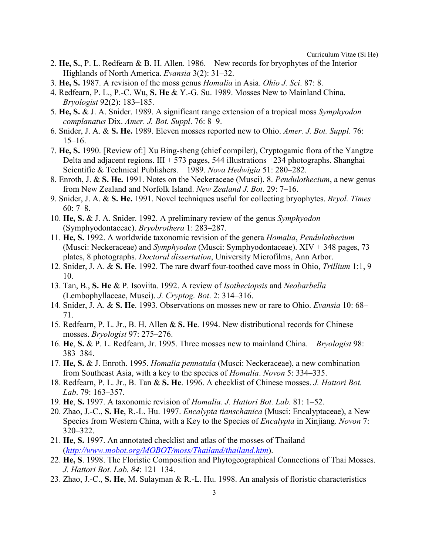- 2. **He, S.**, P. L. Redfearn & B. H. Allen. 1986. New records for bryophytes of the Interior Highlands of North America. *Evansia* 3(2): 31–32.
- 3. **He, S.** 1987. A revision of the moss genus *Homalia* in Asia. *Ohio J. Sci*. 87: 8.
- 4. Redfearn, P. L., P.-C. Wu, **S. He** & Y.-G. Su. 1989. Mosses New to Mainland China. *Bryologist* 92(2): 183–185.
- 5. **He, S.** & J. A. Snider. 1989. A significant range extension of a tropical moss *Symphyodon complanatus* Dix. *Amer. J. Bot. Suppl*. 76: 8–9.
- 6. Snider, J. A. & **S. He.** 1989. Eleven mosses reported new to Ohio. *Amer. J. Bot. Suppl*. 76: 15–16.
- 7. **He, S.** 1990. [Review of:] Xu Bing-sheng (chief compiler), Cryptogamic flora of the Yangtze Delta and adjacent regions.  $III + 573$  pages, 544 illustrations  $+234$  photographs. Shanghai Scientific & Technical Publishers. 1989. *Nova Hedwigia* 51: 280–282.
- 8. Enroth, J. & **S. He.** 1991. Notes on the Neckeraceae (Musci). 8. *Pendulothecium*, a new genus from New Zealand and Norfolk Island. *New Zealand J. Bot*. 29: 7–16.
- 9. Snider, J. A. & **S. He.** 1991. Novel techniques useful for collecting bryophytes. *Bryol. Times* 60: 7–8.
- 10. **He, S.** & J. A. Snider. 1992. A preliminary review of the genus *Symphyodon* (Symphyodontaceae). *Bryobrothera* 1: 283–287.
- 11. **He, S.** 1992. A worldwide taxonomic revision of the genera *Homalia*, *Pendulothecium* (Musci: Neckeraceae) and *Symphyodon* (Musci: Symphyodontaceae). XIV + 348 pages, 73 plates, 8 photographs. *Doctoral dissertation*, University Microfilms, Ann Arbor.
- 12. Snider, J. A. & **S. He**. 1992. The rare dwarf four-toothed cave moss in Ohio, *Trillium* 1:1, 9– 10.
- 13. Tan, B., **S. He** & P. Isoviita. 1992. A review of *Isotheciopsis* and *Neobarbella* (Lembophyllaceae, Musci). *J. Cryptog. Bot*. 2: 314–316.
- 14. Snider, J. A. & **S. He**. 1993. Observations on mosses new or rare to Ohio. *Evansia* 10: 68– 71.
- 15. Redfearn, P. L. Jr., B. H. Allen & **S. He**. 1994. New distributional records for Chinese mosses. *Bryologist* 97: 275–276.
- 16. **He**, **S.** & P. L. Redfearn, Jr. 1995. Three mosses new to mainland China. *Bryologist* 98: 383–384.
- 17. **He, S.** & J. Enroth. 1995. *Homalia pennatula* (Musci: Neckeraceae), a new combination from Southeast Asia, with a key to the species of *Homalia*. *Novon* 5: 334–335.
- 18. Redfearn, P. L. Jr., B. Tan & **S. He**. 1996. A checklist of Chinese mosses. *J. Hattori Bot. Lab*. 79: 163–357.
- 19. **He**, **S.** 1997. A taxonomic revision of *Homalia*. *J. Hattori Bot. Lab*. 81: 1–52.
- 20. Zhao, J.-C., **S. He**, R.-L. Hu. 1997. *Encalypta tianschanica* (Musci: Encalyptaceae), a New Species from Western China, with a Key to the Species of *Encalypta* in Xinjiang. *Novon* 7: 320–322.
- 21. **He**, **S.** 1997. An annotated checklist and atlas of the mosses of Thailand (*<http://www.mobot.org/MOBOT/moss/Thailand/thailand.htm>*).
- 22. **He, S**. 1998. The Floristic Composition and Phytogeographical Connections of Thai Mosses. *J. Hattori Bot. Lab. 84*: 121–134.
- 23. Zhao, J.-C., **S. He**, M. Sulayman & R.-L. Hu. 1998. An analysis of floristic characteristics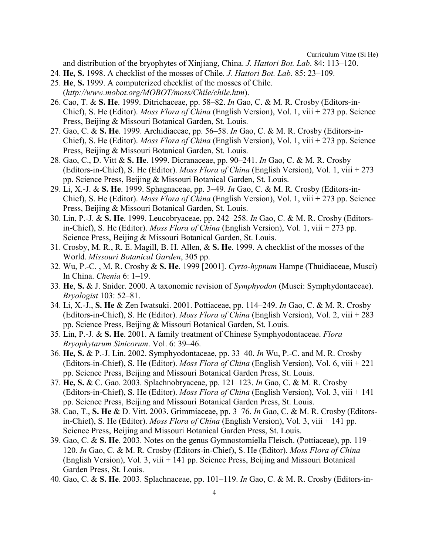and distribution of the bryophytes of Xinjiang, China. *J. Hattori Bot. Lab*. 84: 113–120.

- 24. **He, S.** 1998. A checklist of the mosses of Chile. *J. Hattori Bot. Lab*. 85: 23–109.
- 25. **He**, **S.** 1999. A computerized checklist of the mosses of Chile. (*http://www.mobot.org/MOBOT/moss/Chile/chile.htm*).
- 26. Cao, T. & **S. He**. 1999. Ditrichaceae, pp. 58–82. *In* Gao, C. & M. R. Crosby (Editors-in-Chief), S. He (Editor). *Moss Flora of China* (English Version), Vol. 1, viii + 273 pp. Science Press, Beijing & Missouri Botanical Garden, St. Louis.
- 27. Gao, C. & **S. He**. 1999. Archidiaceae, pp. 56–58. *In* Gao, C. & M. R. Crosby (Editors-in-Chief), S. He (Editor). *Moss Flora of China* (English Version), Vol. 1, viii + 273 pp. Science Press, Beijing & Missouri Botanical Garden, St. Louis.
- 28. Gao, C., D. Vitt & **S. He**. 1999. Dicranaceae, pp. 90–241. *In* Gao, C. & M. R. Crosby (Editors-in-Chief), S. He (Editor). *Moss Flora of China* (English Version), Vol. 1, viii + 273 pp. Science Press, Beijing & Missouri Botanical Garden, St. Louis.
- 29. Li, X.-J. & **S. He**. 1999. Sphagnaceae, pp. 3–49. *In* Gao, C. & M. R. Crosby (Editors-in-Chief), S. He (Editor). *Moss Flora of China* (English Version), Vol. 1, viii + 273 pp. Science Press, Beijing & Missouri Botanical Garden, St. Louis.
- 30. Lin, P.-J. & **S. He**. 1999. Leucobryaceae, pp. 242–258. *In* Gao, C. & M. R. Crosby (Editorsin-Chief), S. He (Editor). *Moss Flora of China* (English Version), Vol. 1, viii + 273 pp. Science Press, Beijing & Missouri Botanical Garden, St. Louis.
- 31. Crosby, M. R., R. E. Magill, B. H. Allen, & **S. He**. 1999. A checklist of the mosses of the World. *Missouri Botanical Garden*, 305 pp.
- 32. Wu, P.-C. , M. R. Crosby & **S. He**. 1999 [2001]. *Cyrto-hypnum* Hampe (Thuidiaceae, Musci) In China. *Chenia* 6: 1–19.
- 33. **He**, **S.** & J. Snider. 2000. A taxonomic revision of *Symphyodon* (Musci: Symphydontaceae). *Bryologist* 103: 52–81.
- 34. Li, X.-J., **S. He** & Zen Iwatsuki. 2001. Pottiaceae, pp. 114–249. *In* Gao, C. & M. R. Crosby (Editors-in-Chief), S. He (Editor). *Moss Flora of China* (English Version), Vol. 2, viii + 283 pp. Science Press, Beijing & Missouri Botanical Garden, St. Louis.
- 35. Lin, P.-J. & **S. He**. 2001. A family treatment of Chinese Symphyodontaceae. *Flora Bryophytarum Sinicorum*. Vol. 6: 39–46.
- 36. **He, S.** & P.-J. Lin. 2002. Symphyodontaceae, pp. 33–40. *In* Wu, P.-C. and M. R. Crosby (Editors-in-Chief), S. He (Editor). *Moss Flora of China* (English Version), Vol. 6, viii + 221 pp. Science Press, Beijing and Missouri Botanical Garden Press, St. Louis.
- 37. **He, S.** & C. Gao. 2003. Splachnobryaceae, pp. 121–123. *In* Gao, C. & M. R. Crosby (Editors-in-Chief), S. He (Editor). *Moss Flora of China* (English Version), Vol. 3, viii + 141 pp. Science Press, Beijing and Missouri Botanical Garden Press, St. Louis.
- 38. Cao, T., **S. He** & D. Vitt. 2003. Grimmiaceae, pp. 3–76. *In* Gao, C. & M. R. Crosby (Editorsin-Chief), S. He (Editor). *Moss Flora of China* (English Version), Vol. 3, viii + 141 pp. Science Press, Beijing and Missouri Botanical Garden Press, St. Louis.
- 39. Gao, C. & **S. He**. 2003. Notes on the genus Gymnostomiella Fleisch. (Pottiaceae), pp. 119– 120. *In* Gao, C. & M. R. Crosby (Editors-in-Chief), S. He (Editor). *Moss Flora of China* (English Version), Vol. 3, viii + 141 pp. Science Press, Beijing and Missouri Botanical Garden Press, St. Louis.
- 40. Gao, C. & **S. He**. 2003. Splachnaceae, pp. 101–119. *In* Gao, C. & M. R. Crosby (Editors-in-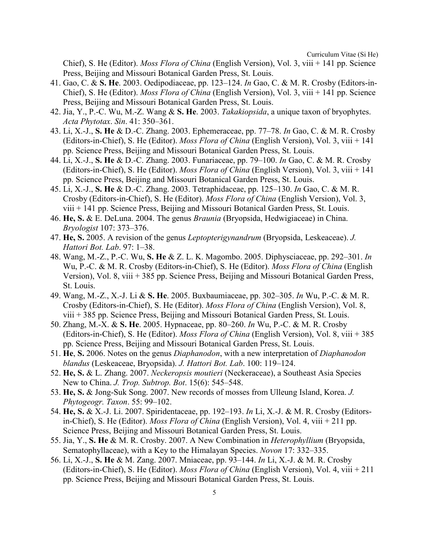Chief), S. He (Editor). *Moss Flora of China* (English Version), Vol. 3, viii + 141 pp. Science Press, Beijing and Missouri Botanical Garden Press, St. Louis.

- 41. Gao, C. & **S. He**. 2003. Oedipodiaceae, pp. 123–124. *In* Gao, C. & M. R. Crosby (Editors-in-Chief), S. He (Editor). *Moss Flora of China* (English Version), Vol. 3, viii + 141 pp. Science Press, Beijing and Missouri Botanical Garden Press, St. Louis.
- 42. Jia, Y., P.-C. Wu, M.-Z. Wang & **S. He**. 2003. *Takakiopsida*, a unique taxon of bryophytes. *Acta Phytotax*. *Sin*. 41: 350–361.
- 43. Li, X.-J., **S. He** & D.-C. Zhang. 2003. Ephemeraceae, pp. 77–78. *In* Gao, C. & M. R. Crosby (Editors-in-Chief), S. He (Editor). *Moss Flora of China* (English Version), Vol. 3, viii + 141 pp. Science Press, Beijing and Missouri Botanical Garden Press, St. Louis.
- 44. Li, X.-J., **S. He** & D.-C. Zhang. 2003. Funariaceae, pp. 79–100. *In* Gao, C. & M. R. Crosby (Editors-in-Chief), S. He (Editor). *Moss Flora of China* (English Version), Vol. 3, viii + 141 pp. Science Press, Beijing and Missouri Botanical Garden Press, St. Louis.
- 45. Li, X.-J., **S. He** & D.-C. Zhang. 2003. Tetraphidaceae, pp. 125–130. *In* Gao, C. & M. R. Crosby (Editors-in-Chief), S. He (Editor). *Moss Flora of China* (English Version), Vol. 3, viii + 141 pp. Science Press, Beijing and Missouri Botanical Garden Press, St. Louis.
- 46. **He, S.** & E. DeLuna. 2004. The genus *Braunia* (Bryopsida, Hedwigiaceae) in China. *Bryologist* 107: 373–376.
- 47. **He, S.** 2005. A revision of the genus *Leptopterigynandrum* (Bryopsida, Leskeaceae). *J. Hattori Bot. Lab*. 97: 1–38.
- 48. Wang, M.-Z., P.-C. Wu, **S. He** & Z. L. K. Magombo. 2005. Diphysciaceae, pp. 292–301. *In* Wu, P.-C. & M. R. Crosby (Editors-in-Chief), S. He (Editor). *Moss Flora of China* (English Version), Vol. 8, viii + 385 pp. Science Press, Beijing and Missouri Botanical Garden Press, St. Louis.
- 49. Wang, M.-Z., X.-J. Li & **S. He**. 2005. Buxbaumiaceae, pp. 302–305. *In* Wu, P.-C. & M. R. Crosby (Editors-in-Chief), S. He (Editor). *Moss Flora of China* (English Version), Vol. 8, viii + 385 pp. Science Press, Beijing and Missouri Botanical Garden Press, St. Louis.
- 50. Zhang, M.-X. & **S. He**. 2005. Hypnaceae, pp. 80–260. *In* Wu, P.-C. & M. R. Crosby (Editors-in-Chief), S. He (Editor). *Moss Flora of China* (English Version), Vol. 8, viii + 385 pp. Science Press, Beijing and Missouri Botanical Garden Press, St. Louis.
- 51. **He**, **S.** 2006. Notes on the genus *Diaphanodon*, with a new interpretation of *Diaphanodon blandus* (Leskeaceae, Bryopsida). *J. Hattori Bot. Lab*. 100: 119–124.
- 52. **He, S.** & L. Zhang. 2007. *Neckeropsis moutieri* (Neckeraceae), a Southeast Asia Species New to China. *J. Trop. Subtrop. Bot*. 15(6): 545–548.
- 53. **He, S.** & Jong-Suk Song. 2007. New records of mosses from Ulleung Island, Korea. *J. Phytogeogr. Taxon*. 55: 99–102.
- 54. **He, S.** & X.-J. Li. 2007. Spiridentaceae, pp. 192–193. *In* Li, X.-J. & M. R. Crosby (Editorsin-Chief), S. He (Editor). *Moss Flora of China* (English Version), Vol. 4, viii + 211 pp. Science Press, Beijing and Missouri Botanical Garden Press, St. Louis.
- 55. Jia, Y., **S. He** & M. R. Crosby. 2007. A New Combination in *Heterophyllium* (Bryopsida, Sematophyllaceae), with a Key to the Himalayan Species. *Novon* 17: 332–335.
- 56. Li, X.-J., **S. He** & M. Zang. 2007. Mniaceae, pp. 93–144. *In* Li, X.-J. & M. R. Crosby (Editors-in-Chief), S. He (Editor). *Moss Flora of China* (English Version), Vol. 4, viii + 211 pp. Science Press, Beijing and Missouri Botanical Garden Press, St. Louis.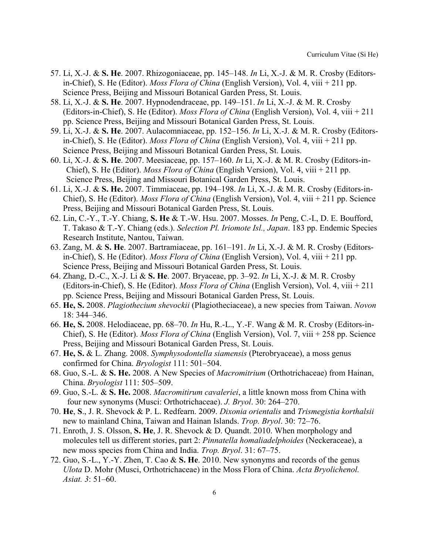- 57. Li, X.-J. & **S. He**. 2007. Rhizogoniaceae, pp. 145–148. *In* Li, X.-J. & M. R. Crosby (Editorsin-Chief), S. He (Editor). *Moss Flora of China* (English Version), Vol. 4, viii + 211 pp. Science Press, Beijing and Missouri Botanical Garden Press, St. Louis.
- 58. Li, X.-J. & **S. He**. 2007. Hypnodendraceae, pp. 149–151. *In* Li, X.-J. & M. R. Crosby (Editors-in-Chief), S. He (Editor). *Moss Flora of China* (English Version), Vol. 4, viii + 211 pp. Science Press, Beijing and Missouri Botanical Garden Press, St. Louis.
- 59. Li, X.-J. & **S. He**. 2007. Aulacomniaceae, pp. 152–156. *In* Li, X.-J. & M. R. Crosby (Editorsin-Chief), S. He (Editor). *Moss Flora of China* (English Version), Vol. 4, viii + 211 pp. Science Press, Beijing and Missouri Botanical Garden Press, St. Louis.
- 60. Li, X.-J. & **S. He**. 2007. Meesiaceae, pp. 157–160. *In* Li, X.-J. & M. R. Crosby (Editors-in-Chief), S. He (Editor). *Moss Flora of China* (English Version), Vol. 4, viii + 211 pp. Science Press, Beijing and Missouri Botanical Garden Press, St. Louis.
- 61. Li, X.-J. & **S. He.** 2007. Timmiaceae, pp. 194–198. *In* Li, X.-J. & M. R. Crosby (Editors-in-Chief), S. He (Editor). *Moss Flora of China* (English Version), Vol. 4, viii + 211 pp. Science Press, Beijing and Missouri Botanical Garden Press, St. Louis.
- 62. Lin, C.-Y., T.-Y. Chiang, **S. He** & T.-W. Hsu. 2007. Mosses. *In* Peng, C.-I., D. E. Boufford, T. Takaso & T.-Y. Chiang (eds.). *Selection Pl. Iriomote Isl., Japan*. 183 pp. Endemic Species Research Institute, Nantou, Taiwan.
- 63. Zang, M. & **S. He**. 2007. Bartramiaceae, pp. 161–191. *In* Li, X.-J. & M. R. Crosby (Editorsin-Chief), S. He (Editor). *Moss Flora of China* (English Version), Vol. 4, viii + 211 pp. Science Press, Beijing and Missouri Botanical Garden Press, St. Louis.
- 64. Zhang, D.-C., X.-J. Li & **S. He**. 2007. Bryaceae, pp. 3–92. *In* Li, X.-J. & M. R. Crosby (Editors-in-Chief), S. He (Editor). *Moss Flora of China* (English Version), Vol. 4, viii + 211 pp. Science Press, Beijing and Missouri Botanical Garden Press, St. Louis.
- 65. **He, S.** 2008. *Plagiothecium shevockii* (Plagiotheciaceae), a new species from Taiwan. *Novon* 18: 344–346.
- 66. **He, S.** 2008. Helodiaceae, pp. 68–70. *In* Hu, R.-L., Y.-F. Wang & M. R. Crosby (Editors-in-Chief), S. He (Editor). *Moss Flora of China* (English Version), Vol. 7, viii + 258 pp. Science Press, Beijing and Missouri Botanical Garden Press, St. Louis.
- 67. **He, S.** & L. Zhang. 2008. *Symphysodontella siamensis* (Pterobryaceae), a moss genus confirmed for China. *Bryologist* 111: 501–504.
- 68. Guo, S.-L. & **S. He.** 2008. A New Species of *Macromitrium* (Orthotrichaceae) from Hainan, China. *Bryologist* 111: 505–509.
- 69. Guo, S.-L. & **S. He.** 2008. *Macromitirum cavaleriei*, a little known moss from China with four new synonyms (Musci: Orthotrichaceae). *J. Bryol*. 30: 264–270.
- 70. **He**, **S**., J. R. Shevock & P. L. Redfearn. 2009. *Dixonia orientalis* and *Trismegistia korthalsii* new to mainland China, Taiwan and Hainan Islands. *Trop. Bryol*. 30: 72–76.
- 71. Enroth, J. S. Olsson, **S. He**, J. R. Shevock & D. Quandt. 2010. When morphology and molecules tell us different stories, part 2: *Pinnatella homaliadelphoides* (Neckeraceae), a new moss species from China and India. *Trop. Bryol*. 31: 67–75.
- 72. Guo, S.-L., Y.-Y. Zhen, T. Cao & **S. He**. 2010. New synonyms and records of the genus *Ulota* D. Mohr (Musci, Orthotrichaceae) in the Moss Flora of China. *Acta Bryolichenol. Asiat. 3*: 51–60.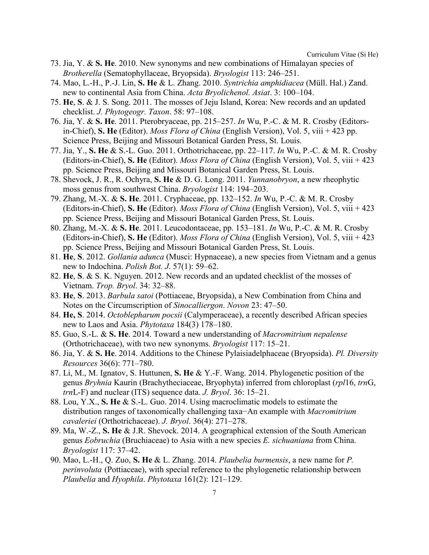- 73. Jia, Y. & **S. He**. 2010. New synonyms and new combinations of Himalayan species of *Brotherella* (Sematophyllaceae, Bryopsida). *Bryologist* 113: 246–251.
- 74. Mao, L.-H., P.-J. Lin, **S. He** & L. Zhang. 2010. *Syntrichia amphidiacea* (Müll. Hal.) Zand. new to continental Asia from China. *Acta Bryolichenol. Asiat*. 3: 100–104.
- 75. **He**, **S**. & J. S. Song. 2011. The mosses of Jeju Island, Korea: New records and an updated checklist. *J. Phytogeogr. Taxon*. 58: 97–108.
- 76. Jia, Y. & **S. He**. 2011. Pterobryaceae, pp. 215–257. *In* Wu, P.-C. & M. R. Crosby (Editorsin-Chief), **S. He** (Editor). *Moss Flora of China* (English Version), Vol. 5, viii + 423 pp. Science Press, Beijing and Missouri Botanical Garden Press, St. Louis.
- 77. Jia, Y., **S. He** & S.-L. Guo. 2011. Orthotrichaceae, pp. 22–117. *In* Wu, P.-C. & M. R. Crosby (Editors-in-Chief), **S. He** (Editor). *Moss Flora of China* (English Version), Vol. 5, viii + 423 pp. Science Press, Beijing and Missouri Botanical Garden Press, St. Louis.
- 78. Shevock, J. R., R. Ochyra, **S. He** & D. G. Long. 2011. *Yunnanobryon*, a new rheophytic moss genus from southwest China. *Bryologist* 114: 194–203.
- 79. Zhang, M.-X. & **S. He**. 2011. Cryphaceae, pp. 132–152. *In* Wu, P.-C. & M. R. Crosby (Editors-in-Chief), **S. He** (Editor). *Moss Flora of China* (English Version), Vol. 5, viii + 423 pp. Science Press, Beijing and Missouri Botanical Garden Press, St. Louis.
- 80. Zhang, M.-X. & **S. He**. 2011. Leucodontaceae, pp. 153–181. *In* Wu, P.-C. & M. R. Crosby (Editors-in-Chief), **S. He** (Editor). *Moss Flora of China* (English Version), Vol. 5, viii + 423 pp. Science Press, Beijing and Missouri Botanical Garden Press, St. Louis.
- 81. **He**, **S**. 2012. *Gollania adunca* (Musci: Hypnaceae), a new species from Vietnam and a genus new to Indochina. *Polish Bot. J*. 57(1): 59–62.
- 82. **He**, **S**. & S. K. Nguyen. 2012. New records and an updated checklist of the mosses of Vietnam. *Trop. Bryol*. 34: 32–88.
- 83. **He**, **S**. 2013. *Barbula satoi* (Pottiaceae, Bryopsida), a New Combination from China and Notes on the Circumscription of *Sinocalliergon*. *Novon* 23: 47–50.
- 84. **He, S**. 2014. *Octoblepharum pocsii* (Calymperaceae), a recently described African species new to Laos and Asia. *Phytotaxa* 184(3) 178–180.
- 85. Guo, S.-L. & **S. He**. 2014. Toward a new understanding of *Macromitrium nepalense* (Orthotrichaceae), with two new synonyms. *Bryologist* 117: 15–21.
- 86. Jia, Y. & **S. He**. 2014. Additions to the Chinese Pylaisiadelphaceae (Bryopsida). *Pl. Diversity Resources* 36(6): 771–780.
- 87. Li, M., M. Ignatov, S. Huttunen, **S. He** & Y.-F. Wang. 2014. Phylogenetic position of the genus *Bryhnia* Kaurin (Brachytheciaceae, Bryophyta) inferred from chloroplast (*rpl*16, *trn*G, *trn*L-F) and nuclear (ITS) sequence data. *J. Bryol*. 36: 15–21.
- 88. Lou, Y.X., **S. He** & S.-L. Guo. 2014. Using macroclimatic models to estimate the distribution ranges of taxonomically challenging taxa−An example with *Macromitrium cavaleriei* (Orthotrichaceae). *J. Bryol*. 36(4): 271–278.
- 89. Ma, W.-Z., **S. He** & J.R. Shevock. 2014. A geographical extension of the South American genus *Eobruchia* (Bruchiaceae) to Asia with a new species *E. sichuaniana* from China. *Bryologist* 117: 37–42.
- 90. Mao, L.-H., Q. Zuo, **S. He** & L. Zhang. 2014. *Plaubelia burmensis*, a new name for *P. perinvoluta* (Pottiaceae), with special reference to the phylogenetic relationship between *Plaubelia* and *Hyophila*. *Phytotaxa* 161(2): 121–129.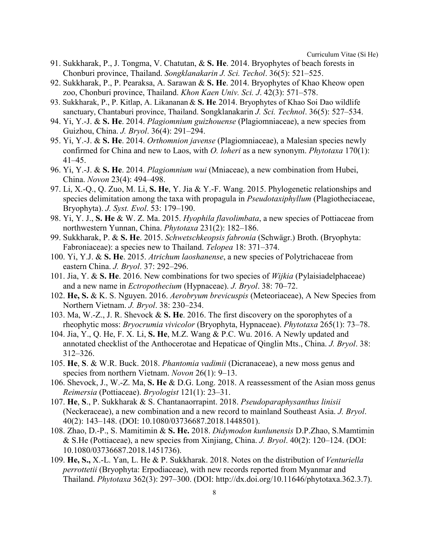- 91. Sukkharak, P., J. Tongma, V. Chatutan, & **S. He**. 2014. Bryophytes of beach forests in Chonburi province, Thailand. *Songklanakarin J. Sci. Techol*. 36(5): 521–525.
- 92. Sukkharak, P., P. Pearaksa, A. Sarawan & **S. He**. 2014. Bryophytes of Khao Kheow open zoo, Chonburi province, Thailand. *Khon Kaen Univ. Sci. J*. 42(3): 571–578.
- 93. Sukkharak, P., P. Kitlap, A. Likananan & **S. He**. 2014. Bryophytes of Khao Soi Dao wildlife sanctuary, Chantaburi province, Thailand. Songklanakarin *J. Sci. Technol*. 36(5): 527–534.
- 94. Yi, Y.-J. & **S. He**. 2014. *Plagiomnium guizhouense* (Plagiomniaceae), a new species from Guizhou, China. *J. Bryol*. 36(4): 291–294.
- 95. Yi, Y.-J. & **S. He**. 2014. *Orthomnion javense* (Plagiomniaceae), a Malesian species newly confirmed for China and new to Laos, with *O. loheri* as a new synonym. *Phytotaxa* 170(1): 41–45.
- 96. Yi, Y.-J. & **S. He**. 2014. *Plagiomnium wui* (Mniaceae), a new combination from Hubei, China. *Novon* 23(4): 494–498.
- 97. Li, X.-Q., Q. Zuo, M. Li, **S. He**, Y. Jia & Y.-F. Wang. 2015. Phylogenetic relationships and species delimitation among the taxa with propagula in *Pseudotaxiphyllum* (Plagiotheciaceae, Bryophyta). *J. Syst. Evol*. 53: 179–190.
- 98. Yi, Y. J., **S. He** & W. Z. Ma. 2015. *Hyophila flavolimbata*, a new species of Pottiaceae from northwestern Yunnan, China. *Phytotaxa* 231(2): 182–186.
- 99. Sukkharak, P. & **S. He**. 2015. *Schwetschkeopsis fabronia* (Schwägr.) Broth. (Bryophyta: Fabroniaceae): a species new to Thailand. *Telopea* 18: 371–374.
- 100. Yi, Y.J. & **S. He**. 2015. *Atrichum laoshanense*, a new species of Polytrichaceae from eastern China. *J. Bryol*. 37: 292–296.
- 101. Jia, Y. & **S. He**. 2016. New combinations for two species of *Wijkia* (Pylaisiadelphaceae) and a new name in *Ectropothecium* (Hypnaceae). *J. Bryol*. 38: 70–72.
- 102. **He, S.** & K. S. Nguyen. 2016. *Aerobryum brevicuspis* (Meteoriaceae), A New Species from Northern Vietnam. *J. Bryol*. 38: 230–234.
- 103. Ma, W.-Z., J. R. Shevock & **S. He**. 2016. The first discovery on the sporophytes of a rheophytic moss: *Bryocrumia vivicolor* (Bryophyta, Hypnaceae). *Phytotaxa* 265(1): 73–78.
- 104. Jia, Y., Q. He, F. X. Li, **S. He**, M.Z. Wang & P.C. Wu. 2016. A Newly updated and annotated checklist of the Anthocerotae and Hepaticae of Qinglin Mts., China. *J. Bryol*. 38: 312–326.
- 105. **He**, **S**. & W.R. Buck. 2018. *Phantomia vadimii* (Dicranaceae), a new moss genus and species from northern Vietnam. *Novon* 26(1): 9–13.
- 106. Shevock, J., W.-Z. Ma, **S. He** & D.G. Long. 2018. A reassessment of the Asian moss genus *Reimersia* (Pottiaceae). *Bryologist* 121(1): 23–31.
- 107. **He**, **S**., P. Sukkharak & S. Chantanaorrapint. 2018. *Pseudoparaphysanthus linisii* (Neckeraceae), a new combination and a new record to mainland Southeast Asia. *J. Bryol*. 40(2): 143–148. (DOI: 10.1080/03736687.2018.1448501).
- 108. Zhao, D.-P., S. Mamitimin & **S. He.** 2018. *Didymodon kunlunensis* D.P.Zhao, S.Mamtimin & S.He (Pottiaceae), a new species from Xinjiang, China. *J. Bryol*. 40(2): 120–124. (DOI: 10.1080/03736687.2018.1451736).
- 109. **He, S.,** X.-L. Yan, L. He & P. Sukkharak. 2018. Notes on the distribution of *Venturiella perrottetii* (Bryophyta: Erpodiaceae), with new records reported from Myanmar and Thailand. *Phytotaxa* 362(3): 297–300. (DOI: http://dx.doi.org/10.11646/phytotaxa.362.3.7).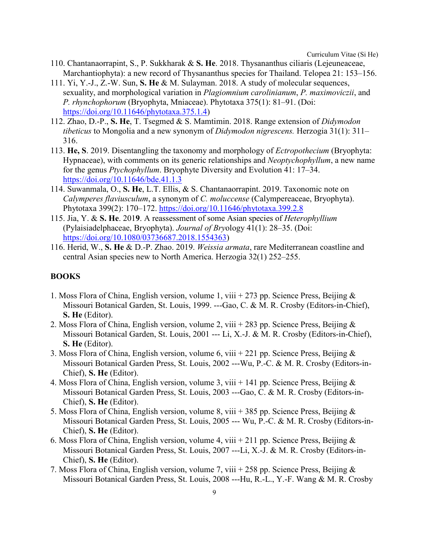- 110. Chantanaorrapint, S., P. Sukkharak & **S. He**. 2018. Thysananthus ciliaris (Lejeuneaceae, Marchantiophyta): a new record of Thysananthus species for Thailand. Telopea 21: 153–156.
- 111. Yi, Y.-J., Z.-W. Sun, **S. He** & M. Sulayman. 2018. A study of molecular sequences, sexuality, and morphological variation in *Plagiomnium carolinianum*, *P. maximoviczii*, and *P. rhynchophorum* (Bryophyta, Mniaceae). Phytotaxa 375(1): 81–91. (Doi: [https://doi.org/10.11646/phytotaxa.375.1.4\)](https://doi.org/10.11646/phytotaxa.375.1.4)
- 112. Zhao, D.-P., **S. He**, T. Tsegmed & S. Mamtimin. 2018. Range extension of *Didymodon tibeticus* to Mongolia and a new synonym of *Didymodon nigrescens.* Herzogia 31(1): 311– 316.
- 113. **He, S**. 2019. Disentangling the taxonomy and morphology of *Ectropothecium* (Bryophyta: Hypnaceae), with comments on its generic relationships and *Neoptychophyllum*, a new name for the genus *Ptychophyllum*. Bryophyte Diversity and Evolution 41: 17–34. <https://doi.org/10.11646/bde.41.1.3>
- 114. Suwanmala, O., **S. He**, L.T. Ellis, & S. Chantanaorrapint. 2019. Taxonomic note on *Calymperes flaviusculum*, a synonym of *C. moluccense* (Calympereaceae, Bryophyta). Phytotaxa 399(2): 170–172.<https://doi.org/10.11646/phytotaxa.399.2.8>
- 115. Jia, Y. & **S. He**. 201**9**. A reassessment of some Asian species of *Heterophyllium* (Pylaisiadelphaceae, Bryophyta). *Journal of Bry*ology 41(1): 28–35. (Doi: [https://doi.org/10.1080/03736687.2018.1554363\)](https://doi.org/10.1080/03736687.2018.1554363)
- 116. Herid, W., **S. He** & D.-P. Zhao. 2019. *Weissia armata*, rare Mediterranean coastline and central Asian species new to North America. Herzogia 32(1) 252–255.

#### **BOOKS**

- 1. Moss Flora of China, English version, volume 1, viii + 273 pp. Science Press, Beijing & Missouri Botanical Garden, St. Louis, 1999. ---Gao, C. & M. R. Crosby (Editors-in-Chief), **S. He** (Editor).
- 2. Moss Flora of China, English version, volume 2, viii + 283 pp. Science Press, Beijing & Missouri Botanical Garden, St. Louis, 2001 --- Li, X.-J. & M. R. Crosby (Editors-in-Chief), **S. He** (Editor).
- 3. Moss Flora of China, English version, volume 6, viii + 221 pp. Science Press, Beijing  $\&$ Missouri Botanical Garden Press, St. Louis, 2002 ---Wu, P.-C. & M. R. Crosby (Editors-in-Chief), **S. He** (Editor).
- 4. Moss Flora of China, English version, volume 3, viii + 141 pp. Science Press, Beijing  $\&$ Missouri Botanical Garden Press, St. Louis, 2003 ---Gao, C. & M. R. Crosby (Editors-in-Chief), **S. He** (Editor).
- 5. Moss Flora of China, English version, volume 8, viii + 385 pp. Science Press, Beijing & Missouri Botanical Garden Press, St. Louis, 2005 --- Wu, P.-C. & M. R. Crosby (Editors-in-Chief), **S. He** (Editor).
- 6. Moss Flora of China, English version, volume 4, viii + 211 pp. Science Press, Beijing  $\&$ Missouri Botanical Garden Press, St. Louis, 2007 ---Li, X.-J. & M. R. Crosby (Editors-in-Chief), **S. He** (Editor).
- 7. Moss Flora of China, English version, volume 7, viii + 258 pp. Science Press, Beijing & Missouri Botanical Garden Press, St. Louis, 2008 ---Hu, R.-L., Y.-F. Wang & M. R. Crosby